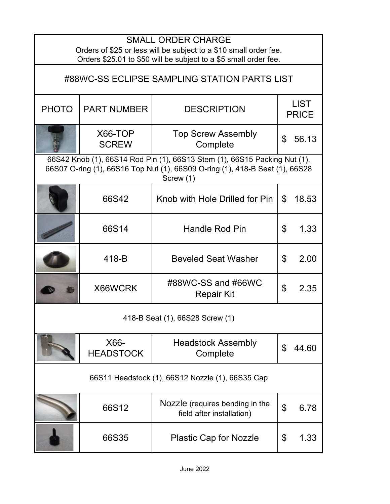| <b>SMALL ORDER CHARGE</b><br>Orders of \$25 or less will be subject to a \$10 small order fee.<br>Orders \$25.01 to \$50 will be subject to a \$5 small order fee.     |                          |                                                              |                             |       |  |  |
|------------------------------------------------------------------------------------------------------------------------------------------------------------------------|--------------------------|--------------------------------------------------------------|-----------------------------|-------|--|--|
| #88WC-SS ECLIPSE SAMPLING STATION PARTS LIST                                                                                                                           |                          |                                                              |                             |       |  |  |
| <b>PHOTO</b>                                                                                                                                                           | <b>PART NUMBER</b>       | <b>DESCRIPTION</b>                                           | <b>LIST</b><br><b>PRICE</b> |       |  |  |
|                                                                                                                                                                        | X66-TOP<br><b>SCREW</b>  | <b>Top Screw Assembly</b><br>Complete                        | \$                          | 56.13 |  |  |
| 66S42 Knob (1), 66S14 Rod Pin (1), 66S13 Stem (1), 66S15 Packing Nut (1),<br>66S07 O-ring (1), 66S16 Top Nut (1), 66S09 O-ring (1), 418-B Seat (1), 66S28<br>Screw (1) |                          |                                                              |                             |       |  |  |
|                                                                                                                                                                        | 66S42                    | Knob with Hole Drilled for Pin                               | \$                          | 18.53 |  |  |
|                                                                                                                                                                        | 66S14                    | Handle Rod Pin                                               | \$                          | 1.33  |  |  |
|                                                                                                                                                                        | 418-B                    | <b>Beveled Seat Washer</b>                                   | \$                          | 2.00  |  |  |
|                                                                                                                                                                        | X66WCRK                  | #88WC-SS and #66WC<br><b>Repair Kit</b>                      | $\mathfrak{P}$              | 2.35  |  |  |
| 418-B Seat (1), 66S28 Screw (1)                                                                                                                                        |                          |                                                              |                             |       |  |  |
|                                                                                                                                                                        | X66-<br><b>HEADSTOCK</b> | <b>Headstock Assembly</b><br>Complete                        | \$                          | 44.60 |  |  |
| 66S11 Headstock (1), 66S12 Nozzle (1), 66S35 Cap                                                                                                                       |                          |                                                              |                             |       |  |  |
|                                                                                                                                                                        | 66S12                    | Nozzle (requires bending in the<br>field after installation) | \$                          | 6.78  |  |  |
|                                                                                                                                                                        | 66S35                    | <b>Plastic Cap for Nozzle</b>                                | \$                          | 1.33  |  |  |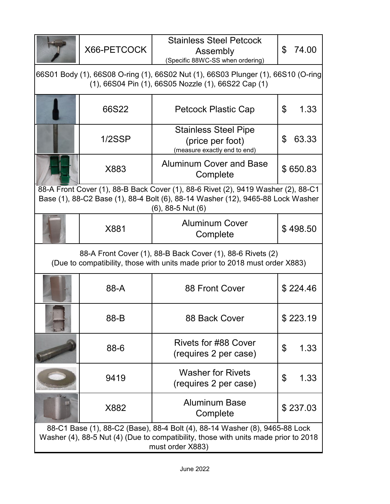|                                                                                                                                                                                                | X66-PETCOCK | <b>Stainless Steel Petcock</b><br>Assembly<br>(Specific 88WC-SS when ordering)  | 74.00<br>\$ |  |  |  |
|------------------------------------------------------------------------------------------------------------------------------------------------------------------------------------------------|-------------|---------------------------------------------------------------------------------|-------------|--|--|--|
| 66S01 Body (1), 66S08 O-ring (1), 66S02 Nut (1), 66S03 Plunger (1), 66S10 (O-ring<br>(1), 66S04 Pin (1), 66S05 Nozzle (1), 66S22 Cap (1)                                                       |             |                                                                                 |             |  |  |  |
|                                                                                                                                                                                                | 66S22       | <b>Petcock Plastic Cap</b>                                                      | \$<br>1.33  |  |  |  |
|                                                                                                                                                                                                | 1/2SSP      | <b>Stainless Steel Pipe</b><br>(price per foot)<br>(measure exactly end to end) | 63.33<br>\$ |  |  |  |
|                                                                                                                                                                                                | X883        | <b>Aluminum Cover and Base</b><br>Complete                                      | \$650.83    |  |  |  |
| 88-A Front Cover (1), 88-B Back Cover (1), 88-6 Rivet (2), 9419 Washer (2), 88-C1<br>Base (1), 88-C2 Base (1), 88-4 Bolt (6), 88-14 Washer (12), 9465-88 Lock Washer<br>$(6)$ , 88-5 Nut $(6)$ |             |                                                                                 |             |  |  |  |
|                                                                                                                                                                                                | X881        | <b>Aluminum Cover</b><br>Complete                                               | \$498.50    |  |  |  |
| 88-A Front Cover (1), 88-B Back Cover (1), 88-6 Rivets (2)<br>(Due to compatibility, those with units made prior to 2018 must order X883)                                                      |             |                                                                                 |             |  |  |  |
|                                                                                                                                                                                                | 88-A        | 88 Front Cover                                                                  | \$224.46    |  |  |  |
|                                                                                                                                                                                                | 88-B        | 88 Back Cover                                                                   | \$223.19    |  |  |  |
|                                                                                                                                                                                                | 88-6        | <b>Rivets for #88 Cover</b><br>(requires 2 per case)                            | \$<br>1.33  |  |  |  |
|                                                                                                                                                                                                | 9419        | <b>Washer for Rivets</b><br>(requires 2 per case)                               | \$<br>1.33  |  |  |  |
|                                                                                                                                                                                                | X882        | <b>Aluminum Base</b><br>Complete                                                | \$237.03    |  |  |  |
| 88-C1 Base (1), 88-C2 (Base), 88-4 Bolt (4), 88-14 Washer (8), 9465-88 Lock<br>Washer (4), 88-5 Nut (4) (Due to compatibility, those with units made prior to 2018<br>must order X883)         |             |                                                                                 |             |  |  |  |